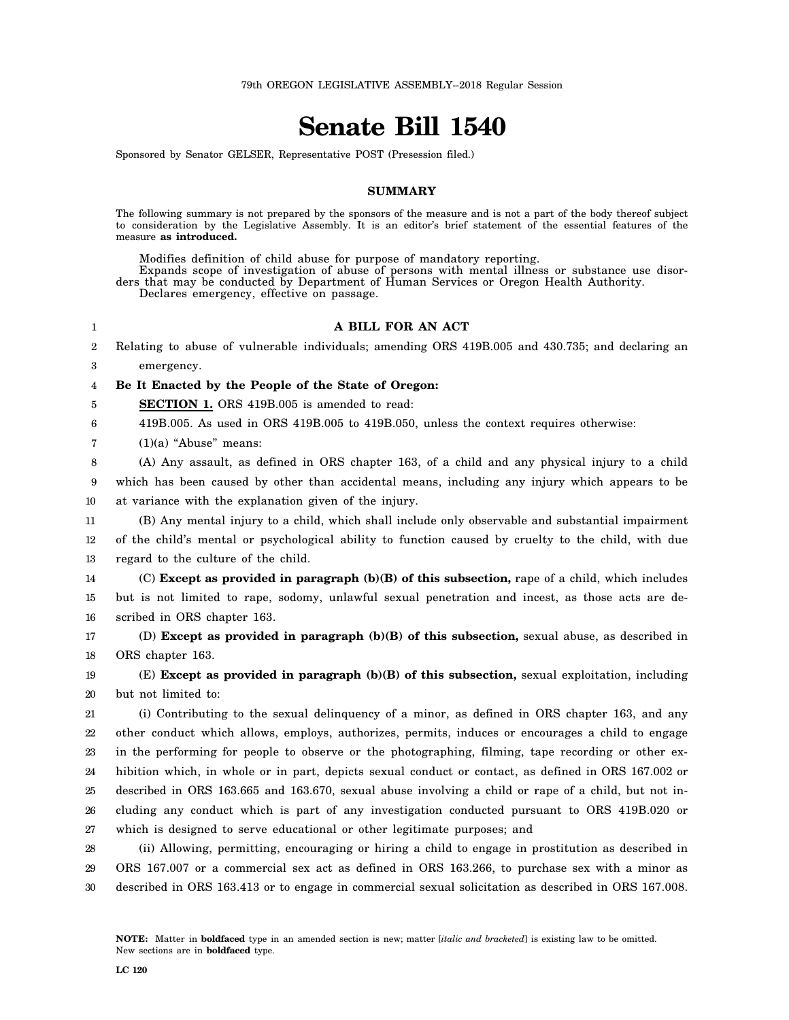# **Senate Bill 1540**

Sponsored by Senator GELSER, Representative POST (Presession filed.)

#### **SUMMARY**

The following summary is not prepared by the sponsors of the measure and is not a part of the body thereof subject to consideration by the Legislative Assembly. It is an editor's brief statement of the essential features of the measure **as introduced.**

Modifies definition of child abuse for purpose of mandatory reporting.

Expands scope of investigation of abuse of persons with mental illness or substance use disorders that may be conducted by Department of Human Services or Oregon Health Authority.

Declares emergency, effective on passage.

### **A BILL FOR AN ACT**

2 Relating to abuse of vulnerable individuals; amending ORS 419B.005 and 430.735; and declaring an

3 emergency.

1

4 **Be It Enacted by the People of the State of Oregon:**

5 **SECTION 1.** ORS 419B.005 is amended to read:

6 419B.005. As used in ORS 419B.005 to 419B.050, unless the context requires otherwise:

7  $(1)(a)$  "Abuse" means:

8 9 (A) Any assault, as defined in ORS chapter 163, of a child and any physical injury to a child which has been caused by other than accidental means, including any injury which appears to be

10 at variance with the explanation given of the injury.

11 12 13 (B) Any mental injury to a child, which shall include only observable and substantial impairment of the child's mental or psychological ability to function caused by cruelty to the child, with due regard to the culture of the child.

14 15 16 (C) **Except as provided in paragraph (b)(B) of this subsection,** rape of a child, which includes but is not limited to rape, sodomy, unlawful sexual penetration and incest, as those acts are described in ORS chapter 163.

17 18 (D) **Except as provided in paragraph (b)(B) of this subsection,** sexual abuse, as described in ORS chapter 163.

19 20 (E) **Except as provided in paragraph (b)(B) of this subsection,** sexual exploitation, including but not limited to:

21 22 23 24 25 26 27 (i) Contributing to the sexual delinquency of a minor, as defined in ORS chapter 163, and any other conduct which allows, employs, authorizes, permits, induces or encourages a child to engage in the performing for people to observe or the photographing, filming, tape recording or other exhibition which, in whole or in part, depicts sexual conduct or contact, as defined in ORS 167.002 or described in ORS 163.665 and 163.670, sexual abuse involving a child or rape of a child, but not including any conduct which is part of any investigation conducted pursuant to ORS 419B.020 or which is designed to serve educational or other legitimate purposes; and

28 29 30 (ii) Allowing, permitting, encouraging or hiring a child to engage in prostitution as described in ORS 167.007 or a commercial sex act as defined in ORS 163.266, to purchase sex with a minor as described in ORS 163.413 or to engage in commercial sexual solicitation as described in ORS 167.008.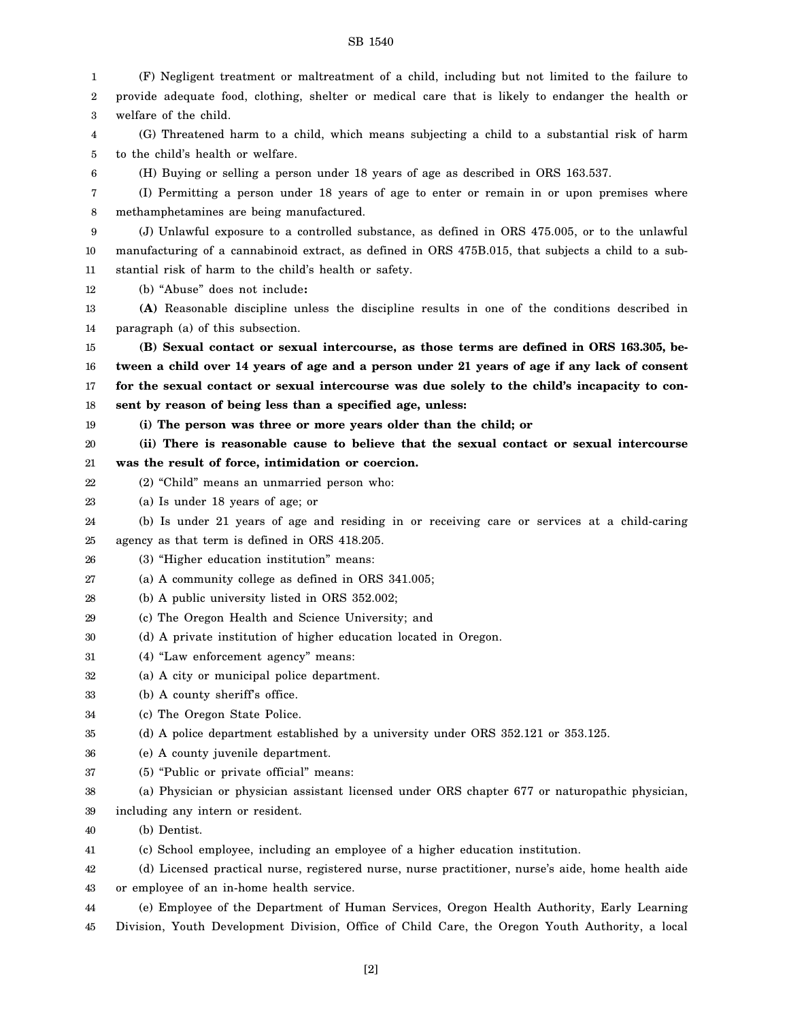1 2 3 4 5 6 7 8 9 10 11 12 13 14 15 16 17 18 19 20 21 22 23 24 25 26 27 28 29 30 31 32 33 34 35 36 37 38 39 40 41 42 43 44 45 (F) Negligent treatment or maltreatment of a child, including but not limited to the failure to provide adequate food, clothing, shelter or medical care that is likely to endanger the health or welfare of the child. (G) Threatened harm to a child, which means subjecting a child to a substantial risk of harm to the child's health or welfare. (H) Buying or selling a person under 18 years of age as described in ORS 163.537. (I) Permitting a person under 18 years of age to enter or remain in or upon premises where methamphetamines are being manufactured. (J) Unlawful exposure to a controlled substance, as defined in ORS 475.005, or to the unlawful manufacturing of a cannabinoid extract, as defined in ORS 475B.015, that subjects a child to a substantial risk of harm to the child's health or safety. (b) "Abuse" does not include**: (A)** Reasonable discipline unless the discipline results in one of the conditions described in paragraph (a) of this subsection. **(B) Sexual contact or sexual intercourse, as those terms are defined in ORS 163.305, between a child over 14 years of age and a person under 21 years of age if any lack of consent for the sexual contact or sexual intercourse was due solely to the child's incapacity to consent by reason of being less than a specified age, unless: (i) The person was three or more years older than the child; or (ii) There is reasonable cause to believe that the sexual contact or sexual intercourse was the result of force, intimidation or coercion.** (2) "Child" means an unmarried person who: (a) Is under 18 years of age; or (b) Is under 21 years of age and residing in or receiving care or services at a child-caring agency as that term is defined in ORS 418.205. (3) "Higher education institution" means: (a) A community college as defined in ORS 341.005; (b) A public university listed in ORS 352.002; (c) The Oregon Health and Science University; and (d) A private institution of higher education located in Oregon. (4) "Law enforcement agency" means: (a) A city or municipal police department. (b) A county sheriff's office. (c) The Oregon State Police. (d) A police department established by a university under ORS 352.121 or 353.125. (e) A county juvenile department. (5) "Public or private official" means: (a) Physician or physician assistant licensed under ORS chapter 677 or naturopathic physician, including any intern or resident. (b) Dentist. (c) School employee, including an employee of a higher education institution. (d) Licensed practical nurse, registered nurse, nurse practitioner, nurse's aide, home health aide or employee of an in-home health service. (e) Employee of the Department of Human Services, Oregon Health Authority, Early Learning Division, Youth Development Division, Office of Child Care, the Oregon Youth Authority, a local

## SB 1540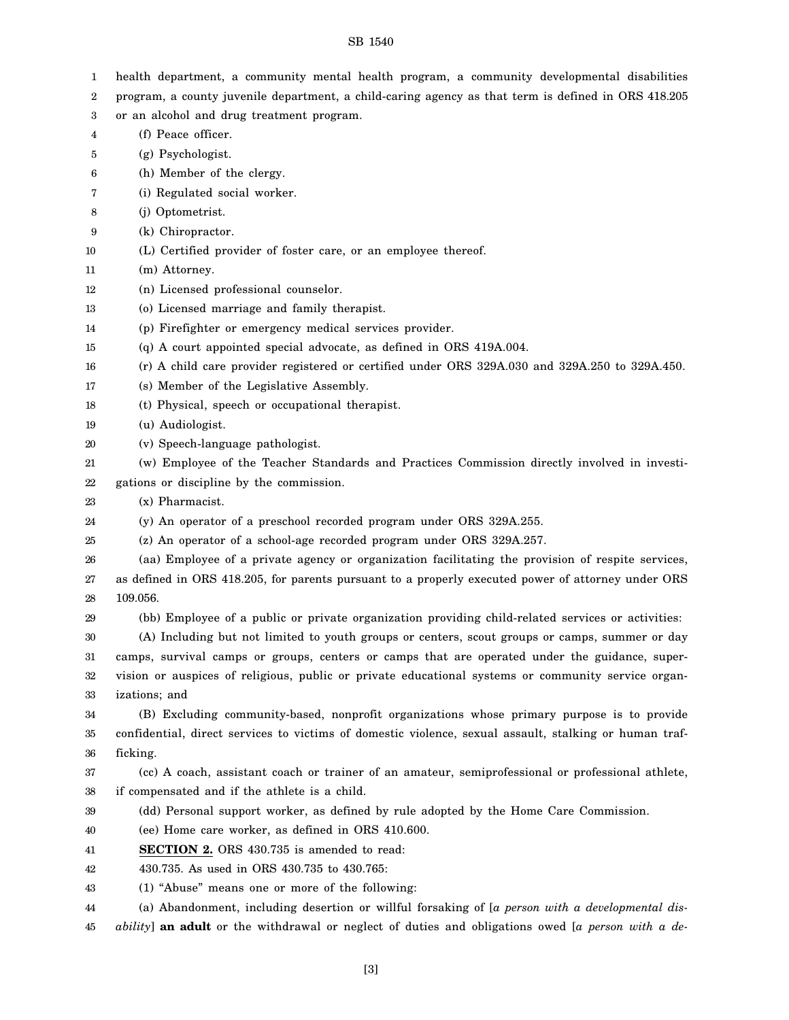| 1  | health department, a community mental health program, a community developmental disabilities           |
|----|--------------------------------------------------------------------------------------------------------|
| 2  | program, a county juvenile department, a child-caring agency as that term is defined in ORS 418.205    |
| 3  | or an alcohol and drug treatment program.                                                              |
| 4  | (f) Peace officer.                                                                                     |
| 5  | (g) Psychologist.                                                                                      |
| 6  | (h) Member of the clergy.                                                                              |
| 7  | (i) Regulated social worker.                                                                           |
| 8  | (j) Optometrist.                                                                                       |
| 9  | (k) Chiropractor.                                                                                      |
| 10 | (L) Certified provider of foster care, or an employee thereof.                                         |
| 11 | (m) Attorney.                                                                                          |
| 12 | (n) Licensed professional counselor.                                                                   |
| 13 | (o) Licensed marriage and family therapist.                                                            |
| 14 | (p) Firefighter or emergency medical services provider.                                                |
| 15 | (q) A court appointed special advocate, as defined in ORS 419A.004.                                    |
| 16 | (r) A child care provider registered or certified under ORS 329A.030 and 329A.250 to 329A.450.         |
| 17 | (s) Member of the Legislative Assembly.                                                                |
| 18 | (t) Physical, speech or occupational therapist.                                                        |
| 19 | (u) Audiologist.                                                                                       |
| 20 | (v) Speech-language pathologist.                                                                       |
| 21 | (w) Employee of the Teacher Standards and Practices Commission directly involved in investi-           |
| 22 | gations or discipline by the commission.                                                               |
| 23 | (x) Pharmacist.                                                                                        |
|    |                                                                                                        |
| 24 | (y) An operator of a preschool recorded program under ORS 329A.255.                                    |
| 25 | (z) An operator of a school-age recorded program under ORS 329A.257.                                   |
| 26 | (aa) Employee of a private agency or organization facilitating the provision of respite services,      |
| 27 | as defined in ORS 418.205, for parents pursuant to a properly executed power of attorney under ORS     |
| 28 | 109.056.                                                                                               |
| 29 | (bb) Employee of a public or private organization providing child-related services or activities:      |
| 30 | (A) Including but not limited to youth groups or centers, scout groups or camps, summer or day         |
| 31 | camps, survival camps or groups, centers or camps that are operated under the guidance, super-         |
| 32 | vision or auspices of religious, public or private educational systems or community service organ-     |
| 33 | izations; and                                                                                          |
| 34 | (B) Excluding community-based, nonprofit organizations whose primary purpose is to provide             |
| 35 | confidential, direct services to victims of domestic violence, sexual assault, stalking or human traf- |
| 36 | ficking.                                                                                               |
| 37 | (cc) A coach, assistant coach or trainer of an amateur, semiprofessional or professional athlete,      |
| 38 | if compensated and if the athlete is a child.                                                          |
| 39 | (dd) Personal support worker, as defined by rule adopted by the Home Care Commission.                  |
| 40 | (ee) Home care worker, as defined in ORS 410.600.                                                      |
| 41 | <b>SECTION 2.</b> ORS 430.735 is amended to read:                                                      |
| 42 | 430.735. As used in ORS 430.735 to 430.765:                                                            |
| 43 | (1) "Abuse" means one or more of the following:                                                        |
| 44 | (a) Abandonment, including desertion or willful forsaking of [a person with a developmental dis-       |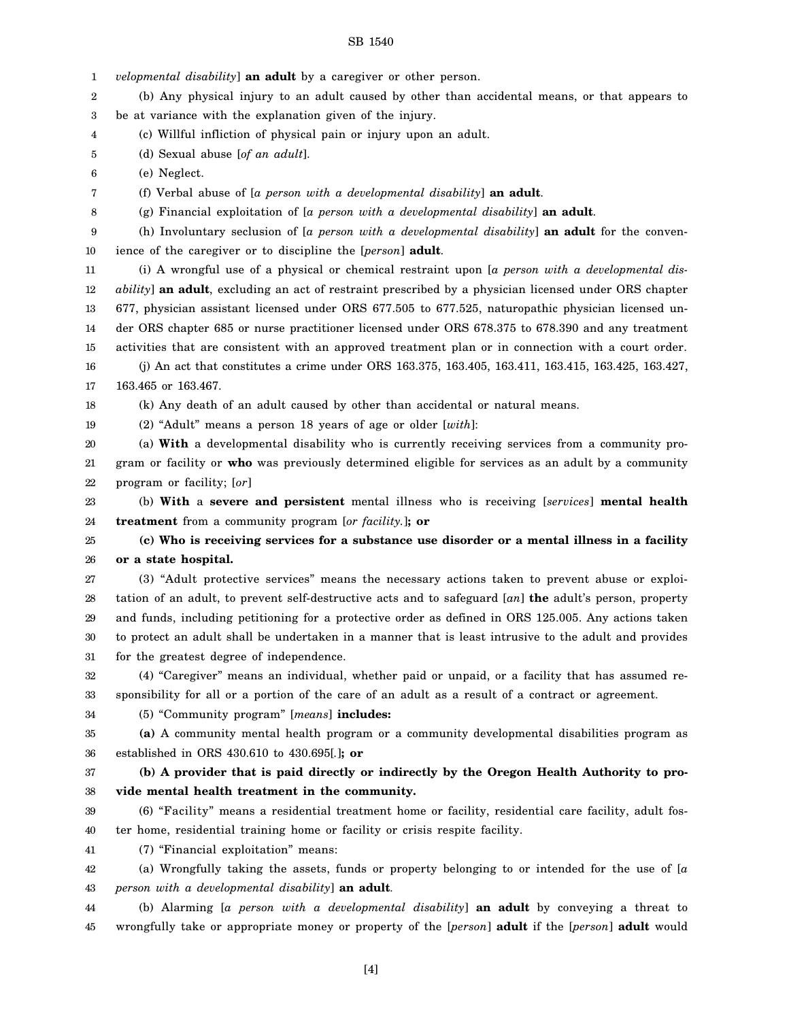1 2 3 4 5 6 7 8 9 10 11 12 13 14 15 16 17 18 19 20 21 22 23 24 25 26 27 28 29 30 31 32 33 34 35 36 37 38 39 40 41 42 43 *velopmental disability*] **an adult** by a caregiver or other person. (b) Any physical injury to an adult caused by other than accidental means, or that appears to be at variance with the explanation given of the injury. (c) Willful infliction of physical pain or injury upon an adult. (d) Sexual abuse [*of an adult*]. (e) Neglect. (f) Verbal abuse of [*a person with a developmental disability*] **an adult**. (g) Financial exploitation of [*a person with a developmental disability*] **an adult**. (h) Involuntary seclusion of [*a person with a developmental disability*] **an adult** for the convenience of the caregiver or to discipline the [*person*] **adult**. (i) A wrongful use of a physical or chemical restraint upon [*a person with a developmental disability*] **an adult**, excluding an act of restraint prescribed by a physician licensed under ORS chapter 677, physician assistant licensed under ORS 677.505 to 677.525, naturopathic physician licensed under ORS chapter 685 or nurse practitioner licensed under ORS 678.375 to 678.390 and any treatment activities that are consistent with an approved treatment plan or in connection with a court order. (j) An act that constitutes a crime under ORS 163.375, 163.405, 163.411, 163.415, 163.425, 163.427, 163.465 or 163.467. (k) Any death of an adult caused by other than accidental or natural means. (2) "Adult" means a person 18 years of age or older [*with*]: (a) **With** a developmental disability who is currently receiving services from a community program or facility or **who** was previously determined eligible for services as an adult by a community program or facility; [*or*] (b) **With** a **severe and persistent** mental illness who is receiving [*services*] **mental health treatment** from a community program [*or facility.*]**; or (c) Who is receiving services for a substance use disorder or a mental illness in a facility or a state hospital.** (3) "Adult protective services" means the necessary actions taken to prevent abuse or exploitation of an adult, to prevent self-destructive acts and to safeguard [*an*] **the** adult's person, property and funds, including petitioning for a protective order as defined in ORS 125.005. Any actions taken to protect an adult shall be undertaken in a manner that is least intrusive to the adult and provides for the greatest degree of independence. (4) "Caregiver" means an individual, whether paid or unpaid, or a facility that has assumed responsibility for all or a portion of the care of an adult as a result of a contract or agreement. (5) "Community program" [*means*] **includes: (a)** A community mental health program or a community developmental disabilities program as established in ORS 430.610 to 430.695[*.*]**; or (b) A provider that is paid directly or indirectly by the Oregon Health Authority to provide mental health treatment in the community.** (6) "Facility" means a residential treatment home or facility, residential care facility, adult foster home, residential training home or facility or crisis respite facility. (7) "Financial exploitation" means: (a) Wrongfully taking the assets, funds or property belonging to or intended for the use of [*a person with a developmental disability*] **an adult**.

44 45 (b) Alarming [*a person with a developmental disability*] **an adult** by conveying a threat to wrongfully take or appropriate money or property of the [*person*] **adult** if the [*person*] **adult** would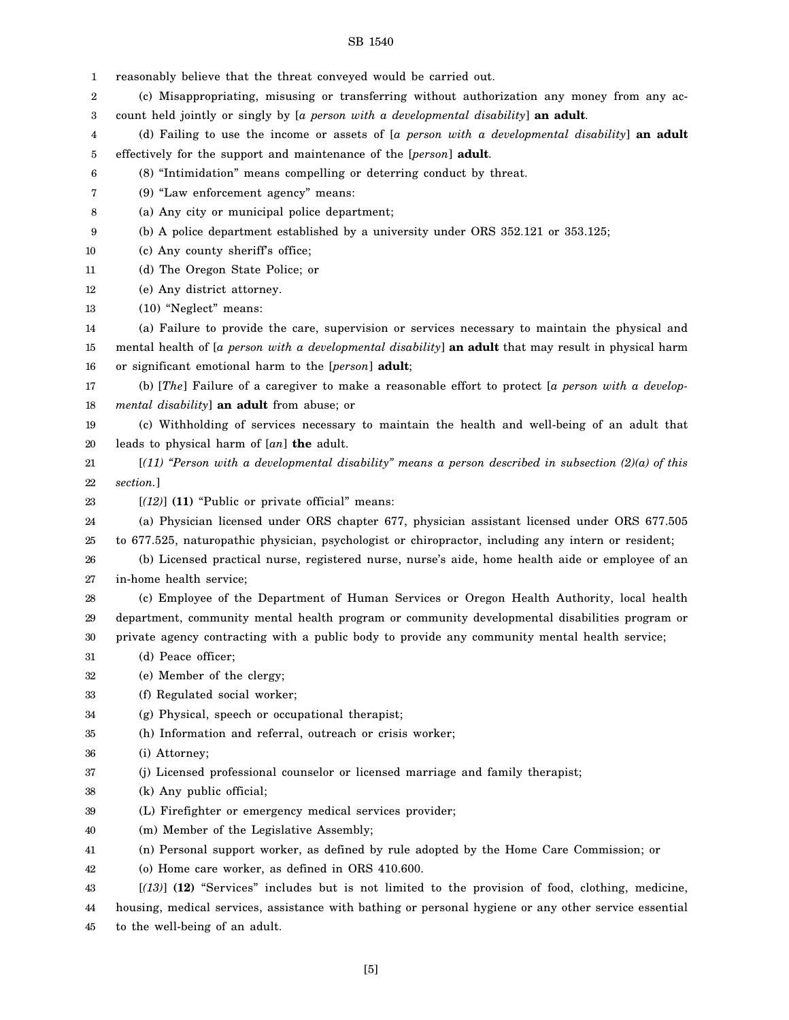1 2 3 4 5 6 7 8 9 10 11 12 13 14 15 16 17 18 19 20 21 22 23 24 25 26 27 28 29 30 31 32 33 34 35 36 37 38 39 40 41 42 43 44 45 reasonably believe that the threat conveyed would be carried out. (c) Misappropriating, misusing or transferring without authorization any money from any account held jointly or singly by [*a person with a developmental disability*] **an adult**. (d) Failing to use the income or assets of [*a person with a developmental disability*] **an adult** effectively for the support and maintenance of the [*person*] **adult**. (8) "Intimidation" means compelling or deterring conduct by threat. (9) "Law enforcement agency" means: (a) Any city or municipal police department; (b) A police department established by a university under ORS 352.121 or 353.125; (c) Any county sheriff's office; (d) The Oregon State Police; or (e) Any district attorney. (10) "Neglect" means: (a) Failure to provide the care, supervision or services necessary to maintain the physical and mental health of [*a person with a developmental disability*] **an adult** that may result in physical harm or significant emotional harm to the [*person*] **adult**; (b) [*The*] Failure of a caregiver to make a reasonable effort to protect [*a person with a developmental disability*] **an adult** from abuse; or (c) Withholding of services necessary to maintain the health and well-being of an adult that leads to physical harm of [*an*] **the** adult. [*(11) "Person with a developmental disability" means a person described in subsection (2)(a) of this section.*] [*(12)*] **(11)** "Public or private official" means: (a) Physician licensed under ORS chapter 677, physician assistant licensed under ORS 677.505 to 677.525, naturopathic physician, psychologist or chiropractor, including any intern or resident; (b) Licensed practical nurse, registered nurse, nurse's aide, home health aide or employee of an in-home health service; (c) Employee of the Department of Human Services or Oregon Health Authority, local health department, community mental health program or community developmental disabilities program or private agency contracting with a public body to provide any community mental health service; (d) Peace officer; (e) Member of the clergy; (f) Regulated social worker; (g) Physical, speech or occupational therapist; (h) Information and referral, outreach or crisis worker; (i) Attorney; (j) Licensed professional counselor or licensed marriage and family therapist; (k) Any public official; (L) Firefighter or emergency medical services provider; (m) Member of the Legislative Assembly; (n) Personal support worker, as defined by rule adopted by the Home Care Commission; or (o) Home care worker, as defined in ORS 410.600. [*(13)*] **(12)** "Services" includes but is not limited to the provision of food, clothing, medicine, housing, medical services, assistance with bathing or personal hygiene or any other service essential to the well-being of an adult.